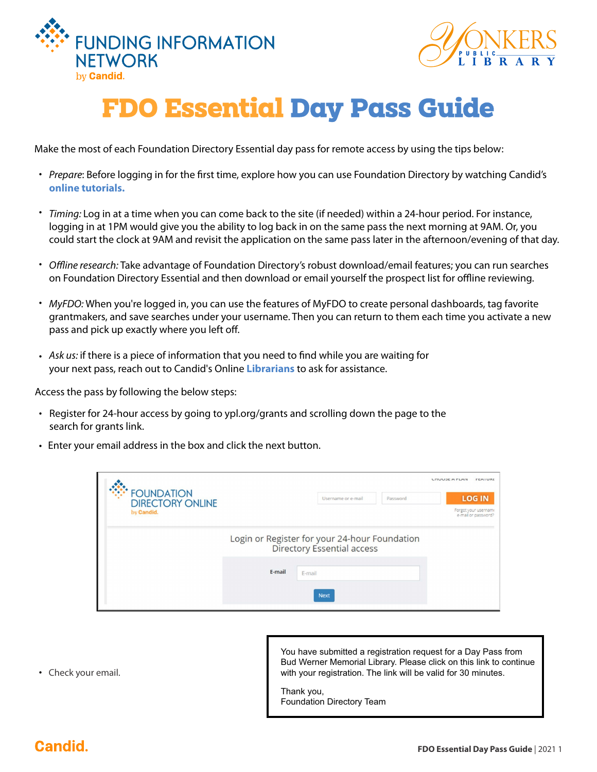



## **FDO Essential Day Pass Guide**

Make the most of each Foundation Directory Essential day pass for remote access by using the tips below:

- Prepare: Before logging in for the first time, explore how you can use Foundation Directory by watching Candid's **[online tutorials.](https://fconline.foundationcenter.org/welcome/features)**
- Timing: Log in at a time when you can come back to the site (if needed) within a 24-hour period. For instance, logging in at 1PM would give you the ability to log back in on the same pass the next morning at 9AM. Or, you could start the clock at 9AM and revisit the application on the same pass later in the afternoon/evening of that day.
- Offline research: Take advantage of Foundation Directory's robust download/email features; you can run searches on Foundation Directory Essential and then download or email yourself the prospect list for offline reviewing.
- MyFDO: When you're logged in, you can use the features of MyFDO to create personal dashboards, tag favorite grantmakers, and save searches under your username. Then you can return to them each time you activate a new pass and pick up exactly where you left off.
- Ask us: if there is a piece of information that you need to find while you are waiting for your next pass, reach out to Candid's Online **[Librarians](https://learning.candid.org/ask-us/?_gl=1*i1tuul*_gcl_aw*R0NMLjE2MTY0MzQyNDAuQ2p3S0NBandnT0dDQmhBbEVpd0E3RlVYa3J4SlctaU4zVVpobkVJYXRtajR2Z3ZXRDA5c3Q1aWpiTVBpRlplZnhvWHJlOVlQMEg0STl4b0NGeVFRQXZEX0J3RQ..&_ga=2.11369844.152458084.1616434268-1775452537.1588173697)** to ask for assistance.

Access the pass by following the below steps:

- Register for 24-hour access by going to ypl.org/grants and scrolling down the page to the search for grants link.
- Enter your email address in the box and click the next button. •

|                                               |                                                                                    |                    |          | <b>LITUUJE A FLAIV</b><br><b><i>FEATURE</i></b> |
|-----------------------------------------------|------------------------------------------------------------------------------------|--------------------|----------|-------------------------------------------------|
| <b>*FOUNDATION</b><br><b>DIRECTORY ONLINE</b> |                                                                                    | Username or e-mail | Password | <b>LOG IN</b>                                   |
| by Candid.                                    |                                                                                    |                    |          | Forgot your username<br>e-mail or password?     |
|                                               | Login or Register for your 24-hour Foundation<br><b>Directory Essential access</b> |                    |          |                                                 |
|                                               | E-mail                                                                             | E-mail             |          |                                                 |
|                                               |                                                                                    | <b>Next</b>        |          |                                                 |

• Check your email.

You have submitted a registration request for a Day Pass from Bud Werner Memorial Library. Please click on this link to continue with your registration. The link will be valid for 30 minutes.

Thank you, Foundation Directory Team

## **Candid.**